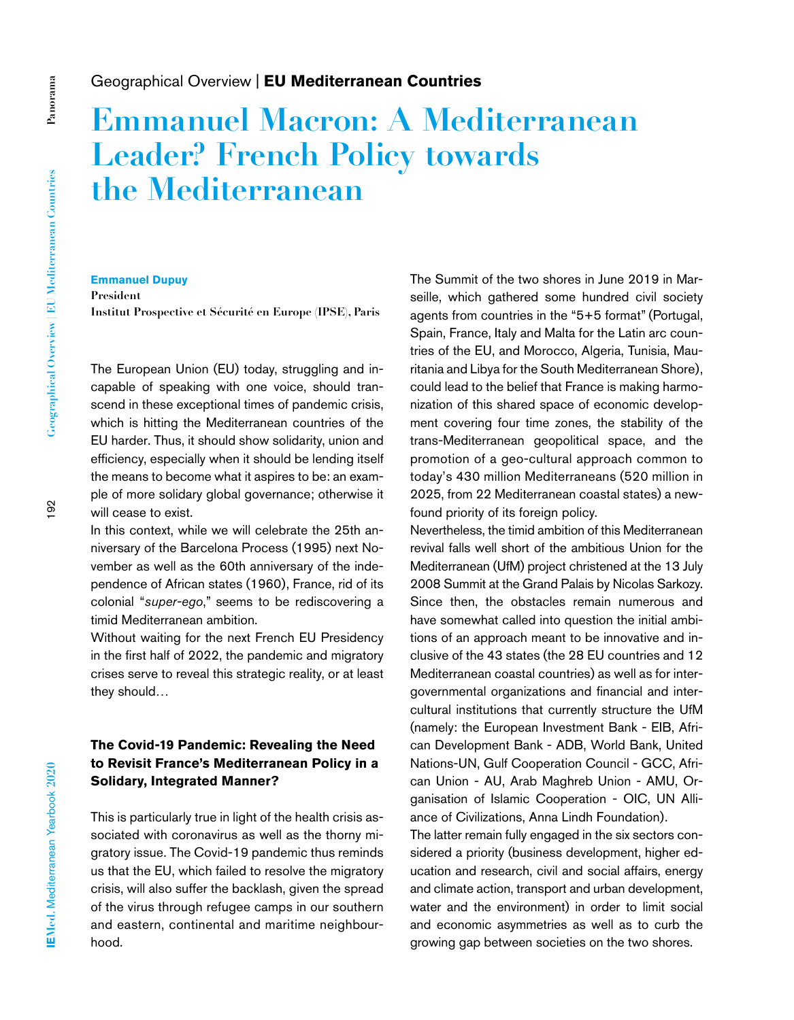## Geographical Overview | **EU Mediterranean Countries**

# **Emmanuel Macron: A Mediterranean Leader? French Policy towards the Mediterranean**

#### **Emmanuel Dupuy**

**President Institut Prospective et Sécurité en Europe (IPSE), Paris**

The European Union (EU) today, struggling and incapable of speaking with one voice, should transcend in these exceptional times of pandemic crisis, which is hitting the Mediterranean countries of the EU harder. Thus, it should show solidarity, union and efficiency, especially when it should be lending itself the means to become what it aspires to be: an example of more solidary global governance; otherwise it will cease to exist.

In this context, while we will celebrate the 25th anniversary of the Barcelona Process (1995) next November as well as the 60th anniversary of the independence of African states (1960), France, rid of its colonial "*super-ego*," seems to be rediscovering a timid Mediterranean ambition.

Without waiting for the next French EU Presidency in the first half of 2022, the pandemic and migratory crises serve to reveal this strategic reality, or at least they should…

## **The Covid-19 Pandemic: Revealing the Need to Revisit France's Mediterranean Policy in a Solidary, Integrated Manner?**

This is particularly true in light of the health crisis associated with coronavirus as well as the thorny migratory issue. The Covid-19 pandemic thus reminds us that the EU, which failed to resolve the migratory crisis, will also suffer the backlash, given the spread of the virus through refugee camps in our southern and eastern, continental and maritime neighbourhood.

The Summit of the two shores in June 2019 in Marseille, which gathered some hundred civil society agents from countries in the "5+5 format" (Portugal, Spain, France, Italy and Malta for the Latin arc countries of the EU, and Morocco, Algeria, Tunisia, Mauritania and Libya for the South Mediterranean Shore), could lead to the belief that France is making harmonization of this shared space of economic development covering four time zones, the stability of the trans-Mediterranean geopolitical space, and the promotion of a geo-cultural approach common to today's 430 million Mediterraneans (520 million in 2025, from 22 Mediterranean coastal states) a newfound priority of its foreign policy.

Nevertheless, the timid ambition of this Mediterranean revival falls well short of the ambitious Union for the Mediterranean (UfM) project christened at the 13 July 2008 Summit at the Grand Palais by Nicolas Sarkozy. Since then, the obstacles remain numerous and have somewhat called into question the initial ambitions of an approach meant to be innovative and inclusive of the 43 states (the 28 EU countries and 12 Mediterranean coastal countries) as well as for intergovernmental organizations and financial and intercultural institutions that currently structure the UfM (namely: the European Investment Bank - EIB, African Development Bank - ADB, World Bank, United Nations-UN, Gulf Cooperation Council - GCC, African Union - AU, Arab Maghreb Union - AMU, Organisation of Islamic Cooperation - OIC, UN Alliance of Civilizations, Anna Lindh Foundation).

The latter remain fully engaged in the six sectors considered a priority (business development, higher education and research, civil and social affairs, energy and climate action, transport and urban development, water and the environment) in order to limit social and economic asymmetries as well as to curb the growing gap between societies on the two shores.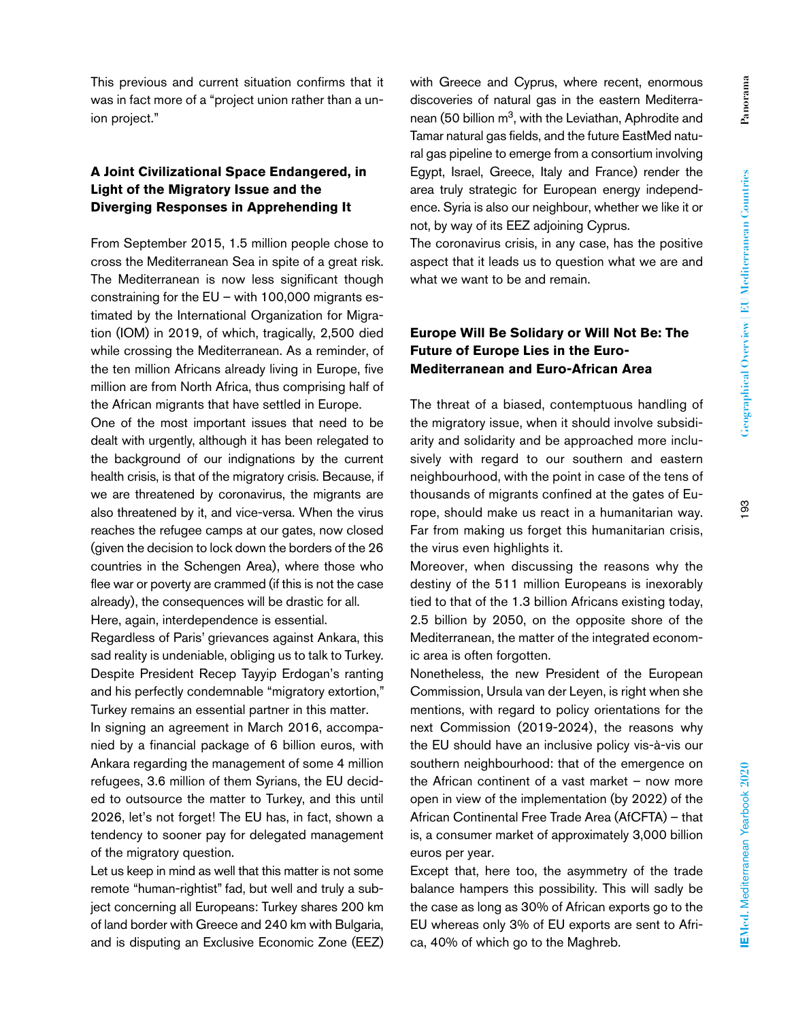**Panorama**

Panorama

with Greece and Cyprus, where recent, enormous discoveries of natural gas in the eastern Mediterra-

nean (50 billion  $m<sup>3</sup>$ , with the Leviathan, Aphrodite and Tamar natural gas fields, and the future EastMed natural gas pipeline to emerge from a consortium involving Egypt, Israel, Greece, Italy and France) render the area truly strategic for European energy independence. Syria is also our neighbour, whether we like it or not, by way of its EEZ adjoining Cyprus.

The coronavirus crisis, in any case, has the positive aspect that it leads us to question what we are and what we want to be and remain.

## **Europe Will Be Solidary or Will Not Be: The Future of Europe Lies in the Euro-Mediterranean and Euro-African Area**

The threat of a biased, contemptuous handling of the migratory issue, when it should involve subsidiarity and solidarity and be approached more inclusively with regard to our southern and eastern neighbourhood, with the point in case of the tens of thousands of migrants confined at the gates of Europe, should make us react in a humanitarian way. Far from making us forget this humanitarian crisis, the virus even highlights it.

Moreover, when discussing the reasons why the destiny of the 511 million Europeans is inexorably tied to that of the 1.3 billion Africans existing today, 2.5 billion by 2050, on the opposite shore of the Mediterranean, the matter of the integrated economic area is often forgotten.

Nonetheless, the new President of the European Commission, Ursula van der Leyen, is right when she mentions, with regard to policy orientations for the next Commission (2019-2024), the reasons why the EU should have an inclusive policy vis-à-vis our southern neighbourhood: that of the emergence on the African continent of a vast market – now more open in view of the implementation (by 2022) of the African Continental Free Trade Area (AfCFTA) – that is, a consumer market of approximately 3,000 billion euros per year.

Except that, here too, the asymmetry of the trade balance hampers this possibility. This will sadly be the case as long as 30% of African exports go to the EU whereas only 3% of EU exports are sent to Africa, 40% of which go to the Maghreb.

This previous and current situation confirms that it was in fact more of a "project union rather than a union project."

## **A Joint Civilizational Space Endangered, in Light of the Migratory Issue and the Diverging Responses in Apprehending It**

From September 2015, 1.5 million people chose to cross the Mediterranean Sea in spite of a great risk. The Mediterranean is now less significant though constraining for the EU – with 100,000 migrants estimated by the International Organization for Migration (IOM) in 2019, of which, tragically, 2,500 died while crossing the Mediterranean. As a reminder, of the ten million Africans already living in Europe, five million are from North Africa, thus comprising half of the African migrants that have settled in Europe.

One of the most important issues that need to be dealt with urgently, although it has been relegated to the background of our indignations by the current health crisis, is that of the migratory crisis. Because, if we are threatened by coronavirus, the migrants are also threatened by it, and vice-versa. When the virus reaches the refugee camps at our gates, now closed (given the decision to lock down the borders of the 26 countries in the Schengen Area), where those who flee war or poverty are crammed (if this is not the case already), the consequences will be drastic for all. Here, again, interdependence is essential.

Regardless of Paris' grievances against Ankara, this sad reality is undeniable, obliging us to talk to Turkey. Despite President Recep Tayyip Erdogan's ranting and his perfectly condemnable "migratory extortion," Turkey remains an essential partner in this matter.

In signing an agreement in March 2016, accompanied by a financial package of 6 billion euros, with Ankara regarding the management of some 4 million refugees, 3.6 million of them Syrians, the EU decided to outsource the matter to Turkey, and this until 2026, let's not forget! The EU has, in fact, shown a tendency to sooner pay for delegated management of the migratory question.

Let us keep in mind as well that this matter is not some remote "human-rightist" fad, but well and truly a subject concerning all Europeans: Turkey shares 200 km of land border with Greece and 240 km with Bulgaria, and is disputing an Exclusive Economic Zone (EEZ)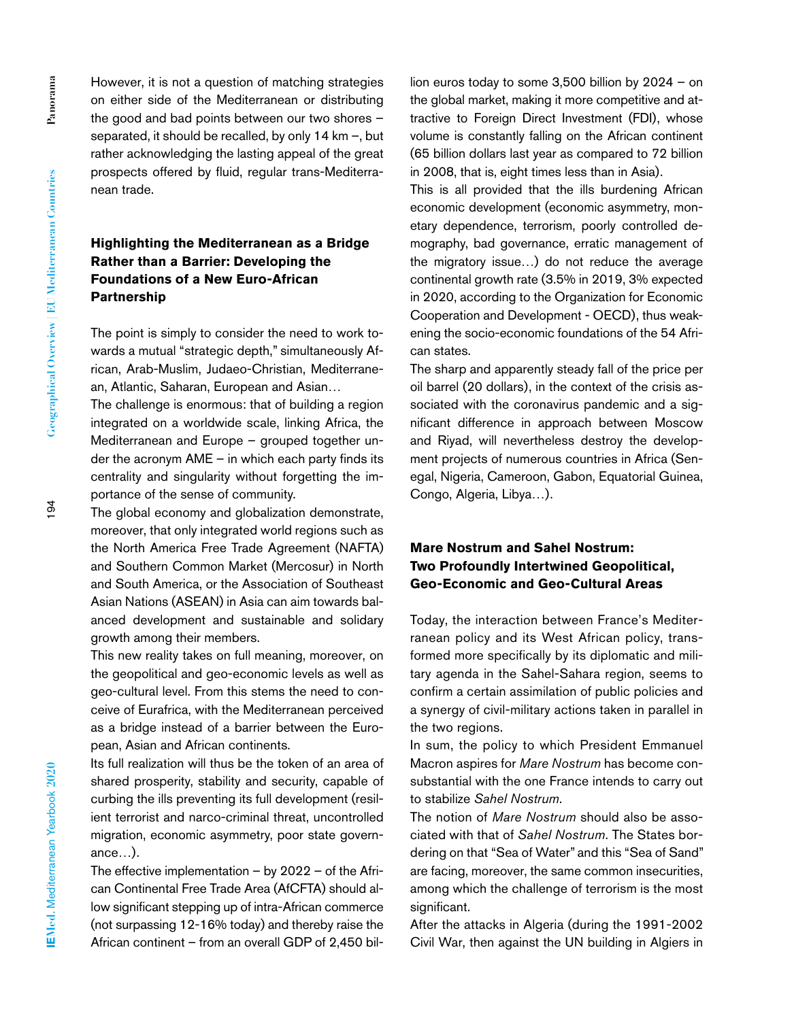However, it is not a question of matching strategies on either side of the Mediterranean or distributing the good and bad points between our two shores – separated, it should be recalled, by only 14 km –, but rather acknowledging the lasting appeal of the great prospects offered by fluid, regular trans-Mediterranean trade.

## **Highlighting the Mediterranean as a Bridge Rather than a Barrier: Developing the Foundations of a New Euro-African Partnership**

The point is simply to consider the need to work towards a mutual "strategic depth," simultaneously African, Arab-Muslim, Judaeo-Christian, Mediterranean, Atlantic, Saharan, European and Asian…

The challenge is enormous: that of building a region integrated on a worldwide scale, linking Africa, the Mediterranean and Europe – grouped together under the acronym AME – in which each party finds its centrality and singularity without forgetting the importance of the sense of community.

The global economy and globalization demonstrate, moreover, that only integrated world regions such as the North America Free Trade Agreement (NAFTA) and Southern Common Market (Mercosur) in North and South America, or the Association of Southeast Asian Nations (ASEAN) in Asia can aim towards balanced development and sustainable and solidary growth among their members.

This new reality takes on full meaning, moreover, on the geopolitical and geo-economic levels as well as geo-cultural level. From this stems the need to conceive of Eurafrica, with the Mediterranean perceived as a bridge instead of a barrier between the European, Asian and African continents.

Its full realization will thus be the token of an area of shared prosperity, stability and security, capable of curbing the ills preventing its full development (resilient terrorist and narco-criminal threat, uncontrolled migration, economic asymmetry, poor state governance…).

The effective implementation – by 2022 – of the African Continental Free Trade Area (AfCFTA) should allow significant stepping up of intra-African commerce (not surpassing 12-16% today) and thereby raise the African continent – from an overall GDP of 2,450 billion euros today to some 3,500 billion by 2024 – on the global market, making it more competitive and attractive to Foreign Direct Investment (FDI), whose volume is constantly falling on the African continent (65 billion dollars last year as compared to 72 billion in 2008, that is, eight times less than in Asia).

This is all provided that the ills burdening African economic development (economic asymmetry, monetary dependence, terrorism, poorly controlled demography, bad governance, erratic management of the migratory issue…) do not reduce the average continental growth rate (3.5% in 2019, 3% expected in 2020, according to the Organization for Economic Cooperation and Development - OECD), thus weakening the socio-economic foundations of the 54 African states.

The sharp and apparently steady fall of the price per oil barrel (20 dollars), in the context of the crisis associated with the coronavirus pandemic and a significant difference in approach between Moscow and Riyad, will nevertheless destroy the development projects of numerous countries in Africa (Senegal, Nigeria, Cameroon, Gabon, Equatorial Guinea, Congo, Algeria, Libya…).

## **Mare Nostrum and Sahel Nostrum: Two Profoundly Intertwined Geopolitical, Geo-Economic and Geo-Cultural Areas**

Today, the interaction between France's Mediterranean policy and its West African policy, transformed more specifically by its diplomatic and military agenda in the Sahel-Sahara region, seems to confirm a certain assimilation of public policies and a synergy of civil-military actions taken in parallel in the two regions.

In sum, the policy to which President Emmanuel Macron aspires for *Mare Nostrum* has become consubstantial with the one France intends to carry out to stabilize *Sahel Nostrum*.

The notion of *Mare Nostrum* should also be associated with that of *Sahel Nostrum*. The States bordering on that "Sea of Water" and this "Sea of Sand" are facing, moreover, the same common insecurities, among which the challenge of terrorism is the most significant.

After the attacks in Algeria (during the 1991-2002 Civil War, then against the UN building in Algiers in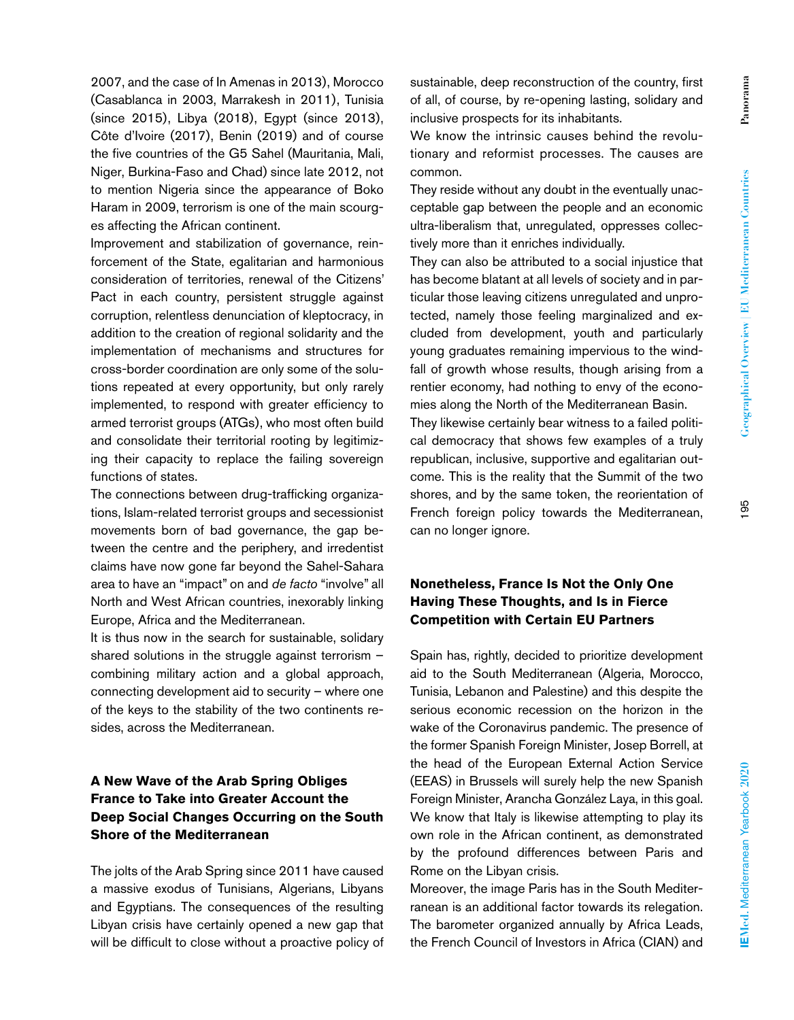2007, and the case of In Amenas in 2013), Morocco (Casablanca in 2003, Marrakesh in 2011), Tunisia (since 2015), Libya (2018), Egypt (since 2013), Côte d'Ivoire (2017), Benin (2019) and of course the five countries of the G5 Sahel (Mauritania, Mali, Niger, Burkina-Faso and Chad) since late 2012, not to mention Nigeria since the appearance of Boko Haram in 2009, terrorism is one of the main scourges affecting the African continent.

Improvement and stabilization of governance, reinforcement of the State, egalitarian and harmonious consideration of territories, renewal of the Citizens' Pact in each country, persistent struggle against corruption, relentless denunciation of kleptocracy, in addition to the creation of regional solidarity and the implementation of mechanisms and structures for cross-border coordination are only some of the solutions repeated at every opportunity, but only rarely implemented, to respond with greater efficiency to armed terrorist groups (ATGs), who most often build and consolidate their territorial rooting by legitimizing their capacity to replace the failing sovereign functions of states.

The connections between drug-trafficking organizations, Islam-related terrorist groups and secessionist movements born of bad governance, the gap between the centre and the periphery, and irredentist claims have now gone far beyond the Sahel-Sahara area to have an "impact" on and *de facto* "involve" all North and West African countries, inexorably linking Europe, Africa and the Mediterranean.

It is thus now in the search for sustainable, solidary shared solutions in the struggle against terrorism – combining military action and a global approach, connecting development aid to security – where one of the keys to the stability of the two continents resides, across the Mediterranean.

## **A New Wave of the Arab Spring Obliges France to Take into Greater Account the Deep Social Changes Occurring on the South Shore of the Mediterranean**

The jolts of the Arab Spring since 2011 have caused a massive exodus of Tunisians, Algerians, Libyans and Egyptians. The consequences of the resulting Libyan crisis have certainly opened a new gap that will be difficult to close without a proactive policy of sustainable, deep reconstruction of the country, first of all, of course, by re-opening lasting, solidary and inclusive prospects for its inhabitants.

We know the intrinsic causes behind the revolutionary and reformist processes. The causes are common.

They reside without any doubt in the eventually unacceptable gap between the people and an economic ultra-liberalism that, unregulated, oppresses collectively more than it enriches individually.

They can also be attributed to a social injustice that has become blatant at all levels of society and in particular those leaving citizens unregulated and unprotected, namely those feeling marginalized and excluded from development, youth and particularly young graduates remaining impervious to the windfall of growth whose results, though arising from a rentier economy, had nothing to envy of the economies along the North of the Mediterranean Basin.

They likewise certainly bear witness to a failed political democracy that shows few examples of a truly republican, inclusive, supportive and egalitarian outcome. This is the reality that the Summit of the two shores, and by the same token, the reorientation of French foreign policy towards the Mediterranean, can no longer ignore.

#### **Nonetheless, France Is Not the Only One Having These Thoughts, and Is in Fierce Competition with Certain EU Partners**

Spain has, rightly, decided to prioritize development aid to the South Mediterranean (Algeria, Morocco, Tunisia, Lebanon and Palestine) and this despite the serious economic recession on the horizon in the wake of the Coronavirus pandemic. The presence of the former Spanish Foreign Minister, Josep Borrell, at the head of the European External Action Service (EEAS) in Brussels will surely help the new Spanish Foreign Minister, Arancha González Laya, in this goal. We know that Italy is likewise attempting to play its own role in the African continent, as demonstrated by the profound differences between Paris and Rome on the Libyan crisis.

Moreover, the image Paris has in the South Mediterranean is an additional factor towards its relegation. The barometer organized annually by Africa Leads, the French Council of Investors in Africa (CIAN) and